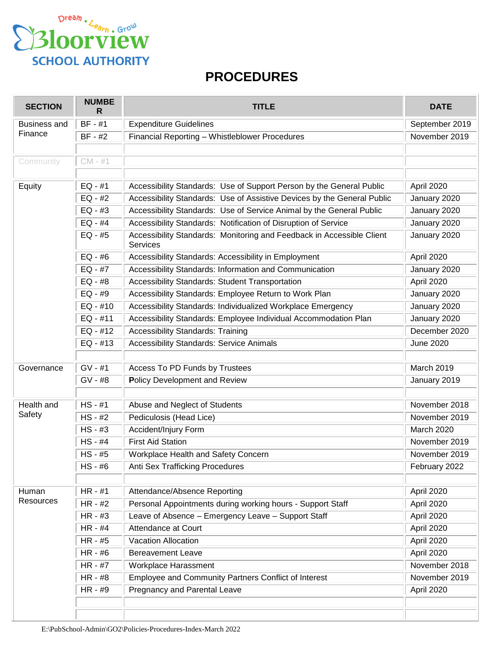

## **PROCEDURES**

| <b>SECTION</b>                 | <b>NUMBE</b><br>R | <b>TITLE</b>                                                                             | <b>DATE</b>      |
|--------------------------------|-------------------|------------------------------------------------------------------------------------------|------------------|
| <b>Business and</b><br>Finance | $BF - #1$         | <b>Expenditure Guidelines</b>                                                            | September 2019   |
|                                | BF - #2           | Financial Reporting - Whistleblower Procedures                                           | November 2019    |
|                                |                   |                                                                                          |                  |
| Community                      | $CM - #1$         |                                                                                          |                  |
|                                |                   |                                                                                          |                  |
| Equity                         | $EQ - #1$         | Accessibility Standards: Use of Support Person by the General Public                     | April 2020       |
|                                | $EQ - #2$         | Accessibility Standards: Use of Assistive Devices by the General Public                  | January 2020     |
|                                | $EQ - #3$         | Accessibility Standards: Use of Service Animal by the General Public                     | January 2020     |
|                                | $EQ - #4$         | Accessibility Standards: Notification of Disruption of Service                           | January 2020     |
|                                | $EQ - #5$         | Accessibility Standards: Monitoring and Feedback in Accessible Client<br><b>Services</b> | January 2020     |
|                                | $EQ - #6$         | Accessibility Standards: Accessibility in Employment                                     | April 2020       |
|                                | $EQ - #7$         | Accessibility Standards: Information and Communication                                   | January 2020     |
|                                | $EQ - #8$         | Accessibility Standards: Student Transportation                                          | April 2020       |
|                                | $EQ - #9$         | Accessibility Standards: Employee Return to Work Plan                                    | January 2020     |
|                                | $EQ - #10$        | Accessibility Standards: Individualized Workplace Emergency                              | January 2020     |
|                                | $EQ - #11$        | Accessibility Standards: Employee Individual Accommodation Plan                          | January 2020     |
|                                | $EQ - #12$        | <b>Accessibility Standards: Training</b>                                                 | December 2020    |
|                                | $EQ - #13$        | <b>Accessibility Standards: Service Animals</b>                                          | <b>June 2020</b> |
|                                |                   |                                                                                          |                  |
| Governance                     | $GV - #1$         | Access To PD Funds by Trustees                                                           | March 2019       |
|                                | GV - #8           | Policy Development and Review                                                            | January 2019     |
|                                |                   |                                                                                          |                  |
| Health and<br>Safety           | $HS - #1$         | Abuse and Neglect of Students                                                            | November 2018    |
|                                | $HS - #2$         | Pediculosis (Head Lice)                                                                  | November 2019    |
|                                | $HS - #3$         | Accident/Injury Form                                                                     | March 2020       |
|                                | HS - #4           | <b>First Aid Station</b>                                                                 | November 2019    |
|                                | $HS - #5$         | Workplace Health and Safety Concern                                                      | November 2019    |
|                                | $HS - #6$         | <b>Anti Sex Trafficking Procedures</b>                                                   | February 2022    |
|                                |                   |                                                                                          |                  |
| Human                          | HR - #1           | Attendance/Absence Reporting                                                             | April 2020       |
| <b>Resources</b>               | HR - #2           | Personal Appointments during working hours - Support Staff                               | April 2020       |
|                                | $HR - #3$         | Leave of Absence - Emergency Leave - Support Staff                                       | April 2020       |
|                                | HR - #4           | Attendance at Court                                                                      | April 2020       |
|                                | HR - #5           | <b>Vacation Allocation</b>                                                               | April 2020       |
|                                | HR - #6           | <b>Bereavement Leave</b>                                                                 | April 2020       |
|                                | HR - #7           | Workplace Harassment                                                                     | November 2018    |
|                                | HR - #8           | Employee and Community Partners Conflict of Interest                                     | November 2019    |
|                                | HR - #9           | Pregnancy and Parental Leave                                                             | April 2020       |
|                                |                   |                                                                                          |                  |